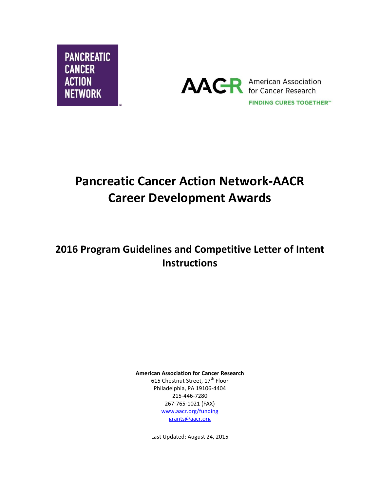



# **Pancreatic Cancer Action Network-AACR Career Development Awards**

## **2016 Program Guidelines and Competitive Letter of Intent Instructions**

**American Association for Cancer Research** 615 Chestnut Street, 17<sup>th</sup> Floor Philadelphia, PA 19106-4404 215-446-7280 267-765-1021 (FAX) [www.aacr.org/funding](http://www.aacr.org/funding) [grants@aacr.org](mailto:grants@aacr.org)

Last Updated: August 24, 2015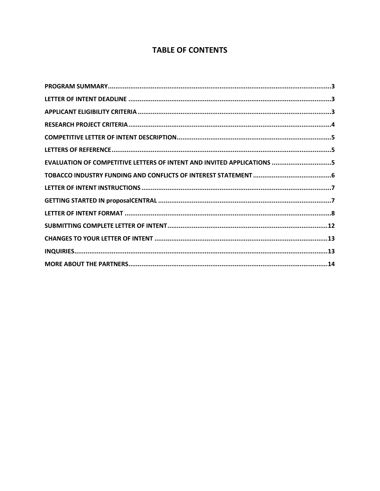### **TABLE OF CONTENTS**

| EVALUATION OF COMPETITIVE LETTERS OF INTENT AND INVITED APPLICATIONS 5 |  |
|------------------------------------------------------------------------|--|
|                                                                        |  |
|                                                                        |  |
|                                                                        |  |
|                                                                        |  |
|                                                                        |  |
|                                                                        |  |
|                                                                        |  |
|                                                                        |  |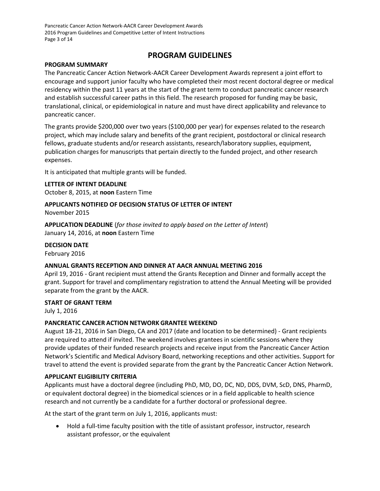Pancreatic Cancer Action Network-AACR Career Development Awards 2016 Program Guidelines and Competitive Letter of Intent Instructions Page 3 of 14

### **PROGRAM GUIDELINES**

### <span id="page-2-0"></span>**PROGRAM SUMMARY**

The Pancreatic Cancer Action Network-AACR Career Development Awards represent a joint effort to encourage and support junior faculty who have completed their most recent doctoral degree or medical residency within the past 11 years at the start of the grant term to conduct pancreatic cancer research and establish successful career paths in this field. The research proposed for funding may be basic, translational, clinical, or epidemiological in nature and must have direct applicability and relevance to pancreatic cancer.

The grants provide \$200,000 over two years (\$100,000 per year) for expenses related to the research project, which may include salary and benefits of the grant recipient, postdoctoral or clinical research fellows, graduate students and/or research assistants, research/laboratory supplies, equipment, publication charges for manuscripts that pertain directly to the funded project, and other research expenses.

It is anticipated that multiple grants will be funded.

<span id="page-2-1"></span>**LETTER OF INTENT DEADLINE** October 8, 2015, at **noon** Eastern Time

## **APPLICANTS NOTIFIED OF DECISION STATUS OF LETTER OF INTENT**

November 2015

**APPLICATION DEADLINE** (*for those invited to apply based on the Letter of Intent*) January 14, 2016, at **noon** Eastern Time

**DECISION DATE** February 2016

### **ANNUAL GRANTS RECEPTION AND DINNER AT AACR ANNUAL MEETING 2016**

April 19, 2016 - Grant recipient must attend the Grants Reception and Dinner and formally accept the grant. Support for travel and complimentary registration to attend the Annual Meeting will be provided separate from the grant by the AACR.

### **START OF GRANT TERM**

July 1, 2016

### **PANCREATIC CANCER ACTION NETWORK GRANTEE WEEKEND**

August 18-21, 2016 in San Diego, CA and 2017 (date and location to be determined) - Grant recipients are required to attend if invited. The weekend involves grantees in scientific sessions where they provide updates of their funded research projects and receive input from the Pancreatic Cancer Action Network's Scientific and Medical Advisory Board, networking receptions and other activities. Support for travel to attend the event is provided separate from the grant by the Pancreatic Cancer Action Network.

### <span id="page-2-2"></span>**APPLICANT ELIGIBILITY CRITERIA**

Applicants must have a doctoral degree (including PhD, MD, DO, DC, ND, DDS, DVM, ScD, DNS, PharmD, or equivalent doctoral degree) in the biomedical sciences or in a field applicable to health science research and not currently be a candidate for a further doctoral or professional degree.

At the start of the grant term on July 1, 2016, applicants must:

 Hold a full-time faculty position with the title of assistant professor, instructor, research assistant professor, or the equivalent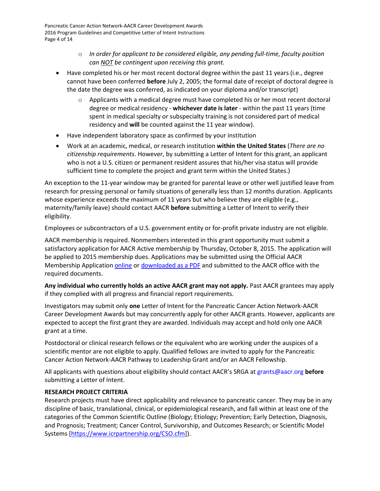Pancreatic Cancer Action Network-AACR Career Development Awards 2016 Program Guidelines and Competitive Letter of Intent Instructions Page 4 of 14

- o *In order for applicant to be considered eligible, any pending full-time, faculty position can NOT be contingent upon receiving this grant.*
- Have completed his or her most recent doctoral degree within the past 11 years (i.e., degree cannot have been conferred **before** July 2, 2005; the formal date of receipt of doctoral degree is the date the degree was conferred, as indicated on your diploma and/or transcript)
	- Applicants with a medical degree must have completed his or her most recent doctoral degree or medical residency - **whichever date is later** - within the past 11 years (time spent in medical specialty or subspecialty training is not considered part of medical residency and **will** be counted against the 11 year window).
- Have independent laboratory space as confirmed by your institution
- Work at an academic, medical, or research institution **within the United States** (*There are no citizenship requirements*. However, by submitting a Letter of Intent for this grant, an applicant who is not a U.S. citizen or permanent resident assures that his/her visa status will provide sufficient time to complete the project and grant term within the United States.)

An exception to the 11-year window may be granted for parental leave or other well justified leave from research for pressing personal or family situations of generally less than 12 months duration. Applicants whose experience exceeds the maximum of 11 years but who believe they are eligible (e.g., maternity/family leave) should contact AACR **before** submitting a Letter of Intent to verify their eligibility.

Employees or subcontractors of a U.S. government entity or for-profit private industry are not eligible.

AACR membership is required. Nonmembers interested in this grant opportunity must submit a satisfactory application for AACR Active membership by Thursday, October 8, 2015. The application will be applied to 2015 membership dues. Applications may be submitted using the Official AACR Membership Application [online](http://myaacr.aacr.org/Core/AccountManagement/BecomeMember.aspx) or [downloaded as a PDF](http://www.aacr.org/Membership/Shared%20Documents/1505054_15_Member_app.pdf) and submitted to the AACR office with the required documents.

**Any individual who currently holds an active AACR grant may not apply.** Past AACR grantees may apply if they complied with all progress and financial report requirements.

Investigators may submit only **one** Letter of Intent for the Pancreatic Cancer Action Network-AACR Career Development Awards but may concurrently apply for other AACR grants. However, applicants are expected to accept the first grant they are awarded. Individuals may accept and hold only one AACR grant at a time.

Postdoctoral or clinical research fellows or the equivalent who are working under the auspices of a scientific mentor are not eligible to apply. Qualified fellows are invited to apply for the Pancreatic Cancer Action Network-AACR Pathway to Leadership Grant and/or an AACR Fellowship.

All applicants with questions about eligibility should contact AACR's SRGA a[t grants@aacr.org](mailto:grants@aacr.org) **before** submitting a Letter of Intent.

### <span id="page-3-0"></span>**RESEARCH PROJECT CRITERIA**

Research projects must have direct applicability and relevance to pancreatic cancer. They may be in any discipline of basic, translational, clinical, or epidemiological research, and fall within at least one of the categories of the Common Scientific Outline (Biology; Etiology; Prevention; Early Detection, Diagnosis, and Prognosis; Treatment; Cancer Control, Survivorship, and Outcomes Research; or Scientific Model Systems [\[https://www.icrpartnership.org/CSO.cfm\]](https://www.icrpartnership.org/CSO.cfm)).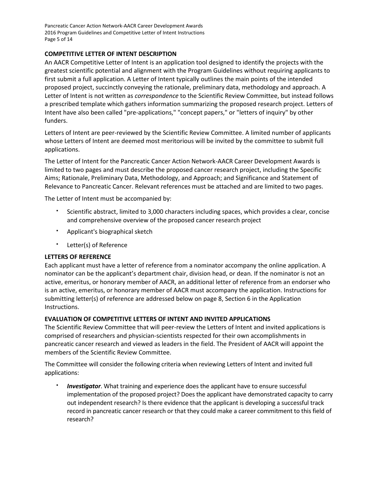Pancreatic Cancer Action Network-AACR Career Development Awards 2016 Program Guidelines and Competitive Letter of Intent Instructions Page 5 of 14

### <span id="page-4-0"></span>**COMPETITIVE LETTER OF INTENT DESCRIPTION**

An AACR Competitive Letter of Intent is an application tool designed to identify the projects with the greatest scientific potential and alignment with the Program Guidelines without requiring applicants to first submit a full application. A Letter of Intent typically outlines the main points of the intended proposed project, succinctly conveying the rationale, preliminary data, methodology and approach. A Letter of Intent is not written as *correspondence* to the Scientific Review Committee, but instead follows a prescribed template which gathers information summarizing the proposed research project. Letters of Intent have also been called "pre-applications," "concept papers," or "letters of inquiry" by other funders.

Letters of Intent are peer-reviewed by the Scientific Review Committee. A limited number of applicants whose Letters of Intent are deemed most meritorious will be invited by the committee to submit full applications.

The Letter of Intent for the Pancreatic Cancer Action Network-AACR Career Development Awards is limited to two pages and must describe the proposed cancer research project, including the Specific Aims; Rationale, Preliminary Data, Methodology, and Approach; and Significance and Statement of Relevance to Pancreatic Cancer. Relevant references must be attached and are limited to two pages.

The Letter of Intent must be accompanied by:

- Scientific abstract, limited to 3,000 characters including spaces, which provides a clear, concise and comprehensive overview of the proposed cancer research project
- Applicant's biographical sketch
- Letter(s) of Reference

### <span id="page-4-1"></span>**LETTERS OF REFERENCE**

Each applicant must have a letter of reference from a nominator accompany the online application. A nominator can be the applicant's department chair, division head, or dean. If the nominator is not an active, emeritus, or honorary member of AACR, an additional letter of reference from an endorser who is an active, emeritus, or honorary member of AACR must accompany the application. Instructions for submitting letter(s) of reference are addressed below on page 8, Section 6 in the Application Instructions.

### <span id="page-4-2"></span>**EVALUATION OF COMPETITIVE LETTERS OF INTENT AND INVITED APPLICATIONS**

The Scientific Review Committee that will peer-review the Letters of Intent and invited applications is comprised of researchers and physician-scientists respected for their own accomplishments in pancreatic cancer research and viewed as leaders in the field. The President of AACR will appoint the members of the Scientific Review Committee.

The Committee will consider the following criteria when reviewing Letters of Intent and invited full applications:

 *Investigator*. What training and experience does the applicant have to ensure successful implementation of the proposed project? Does the applicant have demonstrated capacity to carry out independent research? Is there evidence that the applicant is developing a successful track record in pancreatic cancer research or that they could make a career commitment to this field of research?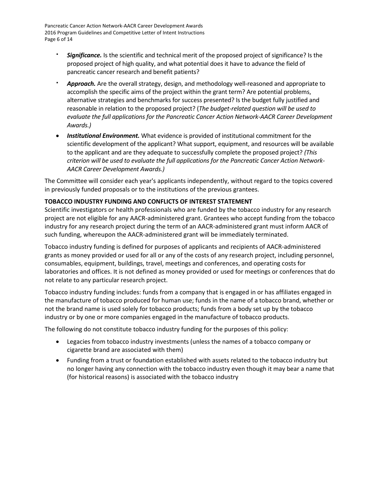Pancreatic Cancer Action Network-AACR Career Development Awards 2016 Program Guidelines and Competitive Letter of Intent Instructions Page 6 of 14

- *Significance.* Is the scientific and technical merit of the proposed project of significance? Is the proposed project of high quality, and what potential does it have to advance the field of pancreatic cancer research and benefit patients?
- *Approach.* Are the overall strategy, design, and methodology well-reasoned and appropriate to accomplish the specific aims of the project within the grant term? Are potential problems, alternative strategies and benchmarks for success presented? Is the budget fully justified and reasonable in relation to the proposed project? (*The budget-related question will be used to evaluate the full applications for the Pancreatic Cancer Action Network-AACR Career Development Awards.)*
- *Institutional Environment.* What evidence is provided of institutional commitment for the scientific development of the applicant? What support, equipment, and resources will be available to the applicant and are they adequate to successfully complete the proposed project? *(This criterion will be used to evaluate the full applications for the Pancreatic Cancer Action Network-AACR Career Development Awards.)*

The Committee will consider each year's applicants independently, without regard to the topics covered in previously funded proposals or to the institutions of the previous grantees.

### <span id="page-5-0"></span>**TOBACCO INDUSTRY FUNDING AND CONFLICTS OF INTEREST STATEMENT**

Scientific investigators or health professionals who are funded by the tobacco industry for any research project are not eligible for any AACR-administered grant. Grantees who accept funding from the tobacco industry for any research project during the term of an AACR-administered grant must inform AACR of such funding, whereupon the AACR-administered grant will be immediately terminated.

Tobacco industry funding is defined for purposes of applicants and recipients of AACR-administered grants as money provided or used for all or any of the costs of any research project, including personnel, consumables, equipment, buildings, travel, meetings and conferences, and operating costs for laboratories and offices. It is not defined as money provided or used for meetings or conferences that do not relate to any particular research project.

Tobacco industry funding includes: funds from a company that is engaged in or has affiliates engaged in the manufacture of tobacco produced for human use; funds in the name of a tobacco brand, whether or not the brand name is used solely for tobacco products; funds from a body set up by the tobacco industry or by one or more companies engaged in the manufacture of tobacco products.

The following do not constitute tobacco industry funding for the purposes of this policy:

- Legacies from tobacco industry investments (unless the names of a tobacco company or cigarette brand are associated with them)
- Funding from a trust or foundation established with assets related to the tobacco industry but no longer having any connection with the tobacco industry even though it may bear a name that (for historical reasons) is associated with the tobacco industry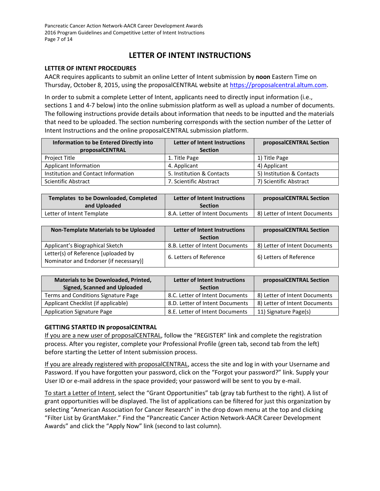Pancreatic Cancer Action Network-AACR Career Development Awards 2016 Program Guidelines and Competitive Letter of Intent Instructions Page 7 of 14

### **LETTER OF INTENT INSTRUCTIONS**

### <span id="page-6-0"></span>**LETTER OF INTENT PROCEDURES**

AACR requires applicants to submit an online Letter of Intent submission by **noon** Eastern Time on Thursday, October 8, 2015, using the proposalCENTRAL website at [https://proposalcentral.altum.com.](https://proposalcentral.altum.com/)

In order to submit a complete Letter of Intent, applicants need to directly input information (i.e., sections 1 and 4-7 below) into the online submission platform as well as upload a number of documents. The following instructions provide details about information that needs to be inputted and the materials that need to be uploaded. The section numbering corresponds with the section number of the Letter of Intent Instructions and the online proposalCENTRAL submission platform.

| Information to be Entered Directly into | <b>Letter of Intent Instructions</b> | proposalCENTRAL Section   |
|-----------------------------------------|--------------------------------------|---------------------------|
| proposalCENTRAL                         | <b>Section</b>                       |                           |
| Project Title                           | 1. Title Page                        | 1) Title Page             |
| Applicant Information                   | 4. Applicant                         | 4) Applicant              |
| Institution and Contact Information     | 5. Institution & Contacts            | 5) Institution & Contacts |
| <b>Scientific Abstract</b>              | 7. Scientific Abstract               | 7) Scientific Abstract    |

| Templates to be Downloaded, Completed | Letter of Intent Instructions   | proposalCENTRAL Section       |
|---------------------------------------|---------------------------------|-------------------------------|
| and Uploaded                          | <b>Section</b>                  |                               |
| Letter of Intent Template             | 8.A. Letter of Intent Documents | 8) Letter of Intent Documents |

| <b>Non-Template Materials to be Uploaded</b>                                  | <b>Letter of Intent Instructions</b> | proposalCENTRAL Section       |
|-------------------------------------------------------------------------------|--------------------------------------|-------------------------------|
|                                                                               | <b>Section</b>                       |                               |
| Applicant's Biographical Sketch                                               | 8.B. Letter of Intent Documents      | 8) Letter of Intent Documents |
| Letter(s) of Reference [uploaded by<br>Nominator and Endorser (if necessary)] | 6. Letters of Reference              | 6) Letters of Reference       |

| <b>Materials to be Downloaded, Printed,</b> | <b>Letter of Intent Instructions</b> | proposalCENTRAL Section       |
|---------------------------------------------|--------------------------------------|-------------------------------|
| <b>Signed, Scanned and Uploaded</b>         | <b>Section</b>                       |                               |
| Terms and Conditions Signature Page         | 8.C. Letter of Intent Documents      | 8) Letter of Intent Documents |
| Applicant Checklist (if applicable)         | 8.D. Letter of Intent Documents      | 8) Letter of Intent Documents |
| <b>Application Signature Page</b>           | 8.E. Letter of Intent Documents      | 11) Signature Page(s)         |

### <span id="page-6-1"></span>**GETTING STARTED IN proposalCENTRAL**

If you are a new user of proposalCENTRAL, follow the "REGISTER" link and complete the registration process. After you register, complete your Professional Profile (green tab, second tab from the left) before starting the Letter of Intent submission process.

If you are already registered with proposalCENTRAL, access the site and log in with your Username and Password. If you have forgotten your password, click on the "Forgot your password?" link. Supply your User ID or e-mail address in the space provided; your password will be sent to you by e-mail.

To start a Letter of Intent, select the "Grant Opportunities" tab (gray tab furthest to the right). A list of grant opportunities will be displayed. The list of applications can be filtered for just this organization by selecting "American Association for Cancer Research" in the drop down menu at the top and clicking "Filter List by GrantMaker." Find the "Pancreatic Cancer Action Network-AACR Career Development Awards" and click the "Apply Now" link (second to last column).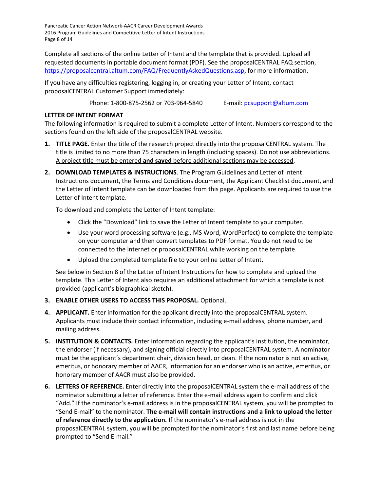Pancreatic Cancer Action Network-AACR Career Development Awards 2016 Program Guidelines and Competitive Letter of Intent Instructions Page 8 of 14

Complete all sections of the online Letter of Intent and the template that is provided. Upload all requested documents in portable document format (PDF). See the proposalCENTRAL FAQ section, [https://proposalcentral.altum.com/FAQ/FrequentlyAskedQuestions.asp,](https://proposalcentral.altum.com/FAQ/FrequentlyAskedQuestions.asp) for more information.

If you have any difficulties registering, logging in, or creating your Letter of Intent, contact proposalCENTRAL Customer Support immediately:

Phone: 1-800-875-2562 or 703-964-5840 E-mail: [pcsupport@altum.com](mailto:pcsupport@altum.com)

### <span id="page-7-0"></span>**LETTER OF INTENT FORMAT**

The following information is required to submit a complete Letter of Intent. Numbers correspond to the sections found on the left side of the proposalCENTRAL website.

- **1. TITLE PAGE.** Enter the title of the research project directly into the proposalCENTRAL system. The title is limited to no more than 75 characters in length (including spaces). Do not use abbreviations. A project title must be entered **and saved** before additional sections may be accessed.
- **2. DOWNLOAD TEMPLATES & INSTRUCTIONS**. The Program Guidelines and Letter of Intent Instructions document, the Terms and Conditions document, the Applicant Checklist document, and the Letter of Intent template can be downloaded from this page. Applicants are required to use the Letter of Intent template.

To download and complete the Letter of Intent template:

- Click the "Download" link to save the Letter of Intent template to your computer.
- Use your word processing software (e.g., MS Word, WordPerfect) to complete the template on your computer and then convert templates to PDF format. You do not need to be connected to the internet or proposalCENTRAL while working on the template.
- Upload the completed template file to your online Letter of Intent.

See below in Section 8 of the Letter of Intent Instructions for how to complete and upload the template. This Letter of Intent also requires an additional attachment for which a template is not provided (applicant's biographical sketch).

### **3. ENABLE OTHER USERS TO ACCESS THIS PROPOSAL.** Optional.

- **4. APPLICANT.** Enter information for the applicant directly into the proposalCENTRAL system. Applicants must include their contact information, including e-mail address, phone number, and mailing address.
- **5. INSTITUTION & CONTACTS.** Enter information regarding the applicant's institution, the nominator, the endorser (if necessary), and signing official directly into proposalCENTRAL system. A nominator must be the applicant's department chair, division head, or dean. If the nominator is not an active, emeritus, or honorary member of AACR, information for an endorser who is an active, emeritus, or honorary member of AACR must also be provided.
- **6. LETTERS OF REFERENCE.** Enter directly into the proposalCENTRAL system the e-mail address of the nominator submitting a letter of reference. Enter the e-mail address again to confirm and click "Add." If the nominator's e-mail address is in the proposalCENTRAL system, you will be prompted to "Send E-mail" to the nominator. **The e-mail will contain instructions and a link to upload the letter of reference directly to the application.** If the nominator's e-mail address is not in the proposalCENTRAL system, you will be prompted for the nominator's first and last name before being prompted to "Send E-mail."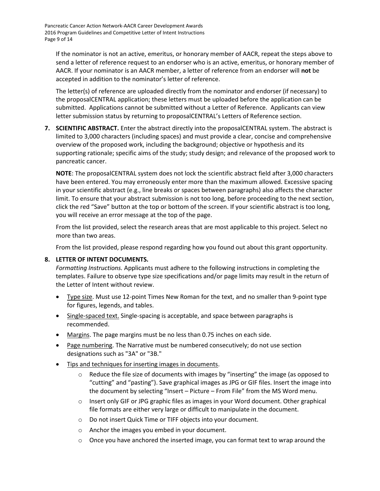Pancreatic Cancer Action Network-AACR Career Development Awards 2016 Program Guidelines and Competitive Letter of Intent Instructions Page 9 of 14

If the nominator is not an active, emeritus, or honorary member of AACR, repeat the steps above to send a letter of reference request to an endorser who is an active, emeritus, or honorary member of AACR. If your nominator is an AACR member, a letter of reference from an endorser will **not** be accepted in addition to the nominator's letter of reference.

The letter(s) of reference are uploaded directly from the nominator and endorser (if necessary) to the proposalCENTRAL application; these letters must be uploaded before the application can be submitted. Applications cannot be submitted without a Letter of Reference. Applicants can view letter submission status by returning to proposalCENTRAL's Letters of Reference section.

**7. SCIENTIFIC ABSTRACT.** Enter the abstract directly into the proposalCENTRAL system. The abstract is limited to 3,000 characters (including spaces) and must provide a clear, concise and comprehensive overview of the proposed work, including the background; objective or hypothesis and its supporting rationale; specific aims of the study; study design; and relevance of the proposed work to pancreatic cancer.

**NOTE**: The proposalCENTRAL system does not lock the scientific abstract field after 3,000 characters have been entered. You may erroneously enter more than the maximum allowed. Excessive spacing in your scientific abstract (e.g., line breaks or spaces between paragraphs) also affects the character limit. To ensure that your abstract submission is not too long, before proceeding to the next section, click the red "Save" button at the top or bottom of the screen. If your scientific abstract is too long, you will receive an error message at the top of the page.

From the list provided, select the research areas that are most applicable to this project. Select no more than two areas.

From the list provided, please respond regarding how you found out about this grant opportunity.

### **8. LETTER OF INTENT DOCUMENTS.**

*Formatting Instructions.* Applicants must adhere to the following instructions in completing the templates. Failure to observe type size specifications and/or page limits may result in the return of the Letter of Intent without review.

- Type size. Must use 12-point Times New Roman for the text, and no smaller than 9-point type for figures, legends, and tables.
- **Single-spaced text.** Single-spacing is acceptable, and space between paragraphs is recommended.
- Margins. The page margins must be no less than 0.75 inches on each side.
- Page numbering. The Narrative must be numbered consecutively; do not use section designations such as "3A" or "3B."
- Tips and techniques for inserting images in documents.
	- Reduce the file size of documents with images by "inserting" the image (as opposed to "cutting" and "pasting"). Save graphical images as JPG or GIF files. Insert the image into the document by selecting "Insert – Picture – From File" from the MS Word menu.
	- $\circ$  Insert only GIF or JPG graphic files as images in your Word document. Other graphical file formats are either very large or difficult to manipulate in the document.
	- o Do not insert Quick Time or TIFF objects into your document.
	- o Anchor the images you embed in your document.
	- $\circ$  Once you have anchored the inserted image, you can format text to wrap around the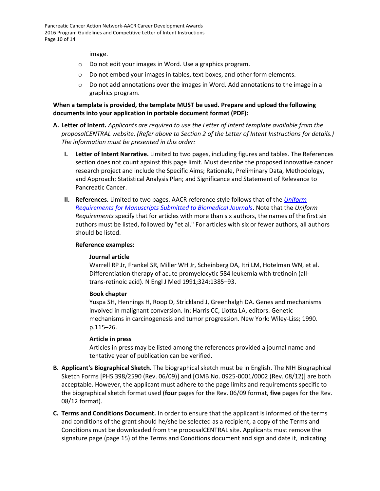image.

- o Do not edit your images in Word. Use a graphics program.
- o Do not embed your images in tables, text boxes, and other form elements.
- $\circ$  Do not add annotations over the images in Word. Add annotations to the image in a graphics program.

**When a template is provided, the template MUST be used. Prepare and upload the following documents into your application in portable document format (PDF):**

- **A. Letter of Intent.** *Applicants are required to use the Letter of Intent template available from the proposalCENTRAL website. (Refer above to Section 2 of the Letter of Intent Instructions for details.) The information must be presented in this order:*
	- **I. Letter of Intent Narrative.** Limited to two pages, including figures and tables. The References section does not count against this page limit. Must describe the proposed innovative cancer research project and include the Specific Aims; Rationale, Preliminary Data, Methodology, and Approach; Statistical Analysis Plan; and Significance and Statement of Relevance to Pancreatic Cancer.
	- **II. References.** Limited to two pages. AACR reference style follows that of the *[Uniform](http://www.nlm.nih.gov/bsd/uniform_requirements.html)  [Requirements for Manuscripts Submitted to Biomedical Journals](http://www.nlm.nih.gov/bsd/uniform_requirements.html)*. Note that the *Uniform Requirements* specify that for articles with more than six authors, the names of the first six authors must be listed, followed by "et al." For articles with six or fewer authors, all authors should be listed.

#### **Reference examples:**

#### **Journal article**

Warrell RP Jr, Frankel SR, Miller WH Jr, Scheinberg DA, Itri LM, Hotelman WN, et al. Differentiation therapy of acute promyelocytic 584 leukemia with tretinoin (alltrans-retinoic acid). N Engl J Med 1991;324:1385–93.

#### **Book chapter**

Yuspa SH, Hennings H, Roop D, Strickland J, Greenhalgh DA. Genes and mechanisms involved in malignant conversion. In: Harris CC, Liotta LA, editors. Genetic mechanisms in carcinogenesis and tumor progression. New York: Wiley-Liss; 1990. p.115–26.

#### **Article in press**

Articles in press may be listed among the references provided a journal name and tentative year of publication can be verified.

- **B. Applicant's Biographical Sketch.** The biographical sketch must be in English. The NIH Biographical Sketch Forms [PHS 398/2590 (Rev. 06/09)] and [OMB No. 0925-0001/0002 (Rev. 08/12)] are both acceptable. However, the applicant must adhere to the page limits and requirements specific to the biographical sketch format used (**four** pages for the Rev. 06/09 format, **five** pages for the Rev. 08/12 format).
- **C. Terms and Conditions Document.** In order to ensure that the applicant is informed of the terms and conditions of the grant should he/she be selected as a recipient, a copy of the Terms and Conditions must be downloaded from the proposalCENTRAL site. Applicants must remove the signature page (page 15) of the Terms and Conditions document and sign and date it, indicating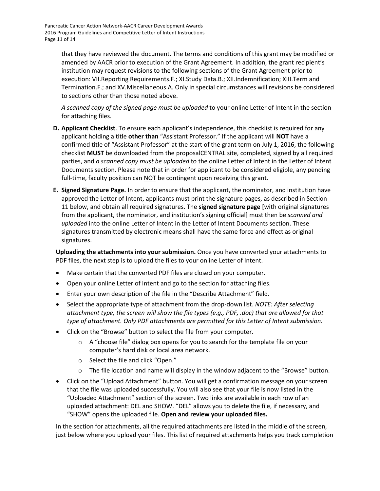Pancreatic Cancer Action Network-AACR Career Development Awards 2016 Program Guidelines and Competitive Letter of Intent Instructions Page 11 of 14

> that they have reviewed the document. The terms and conditions of this grant may be modified or amended by AACR prior to execution of the Grant Agreement. In addition, the grant recipient's institution may request revisions to the following sections of the Grant Agreement prior to execution: VII.Reporting Requirements.F.; XI.Study Data.B.; XII.Indemnification; XIII.Term and Termination.F.; and XV.Miscellaneous.A. Only in special circumstances will revisions be considered to sections other than those noted above.

*A scanned copy of the signed page must be uploaded* to your online Letter of Intent in the section for attaching files.

- **D. Applicant Checklist**. To ensure each applicant's independence, this checklist is required for any applicant holding a title **other than** "Assistant Professor." If the applicant will **NOT** have a confirmed title of "Assistant Professor" at the start of the grant term on July 1, 2016, the following checklist **MUST** be downloaded from the proposalCENTRAL site, completed, signed by all required parties, and *a scanned copy must be uploaded* to the online Letter of Intent in the Letter of Intent Documents section. Please note that in order for applicant to be considered eligible, any pending full-time, faculty position can NOT be contingent upon receiving this grant.
- **E. Signed Signature Page.** In order to ensure that the applicant, the nominator, and institution have approved the Letter of Intent, applicants must print the signature pages, as described in Section 11 below, and obtain all required signatures. The **signed signature page** [with original signatures from the applicant, the nominator, and institution's signing official] must then be *scanned and uploaded* into the online Letter of Intent in the Letter of Intent Documents section. These signatures transmitted by electronic means shall have the same force and effect as original signatures.

**Uploading the attachments into your submission.** Once you have converted your attachments to PDF files, the next step is to upload the files to your online Letter of Intent.

- Make certain that the converted PDF files are closed on your computer.
- Open your online Letter of Intent and go to the section for attaching files.
- Enter your own description of the file in the "Describe Attachment" field.
- Select the appropriate type of attachment from the drop-down list. *NOTE: After selecting attachment type, the screen will show the file types (e.g., PDF, .doc) that are allowed for that type of attachment. Only PDF attachments are permitted for this Letter of Intent submission.*
- Click on the "Browse" button to select the file from your computer.
	- $\circ$  A "choose file" dialog box opens for you to search for the template file on your computer's hard disk or local area network.
	- o Select the file and click "Open."
	- $\circ$  The file location and name will display in the window adjacent to the "Browse" button.
- Click on the "Upload Attachment" button. You will get a confirmation message on your screen that the file was uploaded successfully. You will also see that your file is now listed in the "Uploaded Attachment" section of the screen. Two links are available in each row of an uploaded attachment: DEL and SHOW. "DEL" allows you to delete the file, if necessary, and "SHOW" opens the uploaded file. **Open and review your uploaded files.**

In the section for attachments, all the required attachments are listed in the middle of the screen, just below where you upload your files. This list of required attachments helps you track completion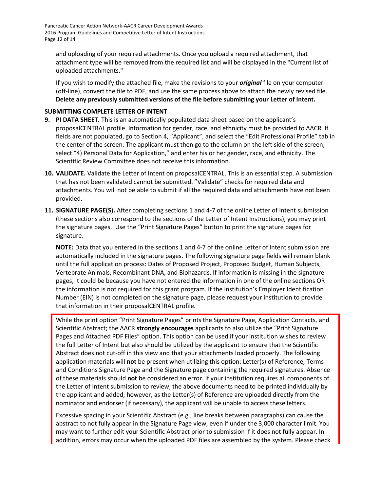Pancreatic Cancer Action Network-AACR Career Development Awards 2016 Program Guidelines and Competitive Letter of Intent Instructions Page 12 of 14

and uploading of your required attachments. Once you upload a required attachment, that attachment type will be removed from the required list and will be displayed in the "Current list of uploaded attachments."

If you wish to modify the attached file, make the revisions to your *original* file on your computer (off-line), convert the file to PDF, and use the same process above to attach the newly revised file. **Delete any previously submitted versions of the file before submitting your Letter of Intent.**

### <span id="page-11-0"></span>**SUBMITTING COMPLETE LETTER OF INTENT**

- **9. PI DATA SHEET.** This is an automatically populated data sheet based on the applicant's proposalCENTRAL profile. Information for gender, race, and ethnicity must be provided to AACR. If fields are not populated, go to Section 4, "Applicant", and select the "Edit Professional Profile" tab in the center of the screen. The applicant must then go to the column on the left side of the screen, select "4) Personal Data for Application," and enter his or her gender, race, and ethnicity. The Scientific Review Committee does not receive this information.
- **10. VALIDATE.** Validate the Letter of Intent on proposalCENTRAL. This is an essential step. A submission that has not been validated cannot be submitted. "Validate" checks for required data and attachments. You will not be able to submit if all the required data and attachments have not been provided.
- **11. SIGNATURE PAGE(S).** After completing sections 1 and 4-7 of the online Letter of Intent submission (these sections also correspond to the sections of the Letter of Intent Instructions), you may print the signature pages. Use the "Print Signature Pages" button to print the signature pages for signature.

**NOTE:** Data that you entered in the sections 1 and 4-7 of the online Letter of Intent submission are automatically included in the signature pages. The following signature page fields will remain blank until the full application process: Dates of Proposed Project, Proposed Budget, Human Subjects, Vertebrate Animals, Recombinant DNA, and Biohazards. If information is missing in the signature pages, it could be because you have not entered the information in one of the online sections OR the information is not required for this grant program. If the institution's Employer Identification Number (EIN) is not completed on the signature page, please request your institution to provide that information in their proposalCENTRAL profile.

While the print option "Print Signature Pages" prints the Signature Page, Application Contacts, and Scientific Abstract; the AACR **strongly encourages** applicants to also utilize the "Print Signature Pages and Attached PDF Files" option. This option can be used if your institution wishes to review the full Letter of Intent but also should be utilized by the applicant to ensure that the Scientific Abstract does not cut-off in this view and that your attachments loaded properly. The following application materials will **not** be present when utilizing this option: Letter(s) of Reference, Terms and Conditions Signature Page and the Signature page containing the required signatures. Absence of these materials should **not** be considered an error. If your institution requires all components of the Letter of Intent submission to review, the above documents need to be printed individually by the applicant and added; however, as the Letter(s) of Reference are uploaded directly from the nominator and endorser (if necessary), the applicant will be unable to access these letters.

Excessive spacing in your Scientific Abstract (e.g., line breaks between paragraphs) can cause the abstract to not fully appear in the Signature Page view, even if under the 3,000 character limit. You may want to further edit your Scientific Abstract prior to submission if it does not fully appear. In addition, errors may occur when the uploaded PDF files are assembled by the system. Please check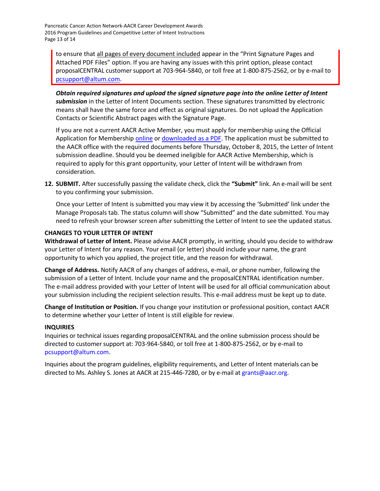Pancreatic Cancer Action Network-AACR Career Development Awards 2016 Program Guidelines and Competitive Letter of Intent Instructions Page 13 of 14

to ensure that all pages of every document included appear in the "Print Signature Pages and Attached PDF Files" option. If you are having any issues with this print option, please contact proposalCENTRAL customer support at 703-964-5840, or toll free at 1-800-875-2562, or by e-mail to [pcsupport@altum.com.](mailto:pcsupport@altum.com)

*Obtain required signatures and upload the signed signature page into the online Letter of Intent submission* in the Letter of Intent Documents section. These signatures transmitted by electronic means shall have the same force and effect as original signatures. Do not upload the Application Contacts or Scientific Abstract pages with the Signature Page.

If you are not a current AACR Active Member, you must apply for membership using the Official Application for Membership [online](http://myaacr.aacr.org/Core/AccountManagement/BecomeMember.aspx) or [downloaded as a PDF.](http://www.aacr.org/Membership/Shared%20Documents/1505054_15_Member_app.pdf) The application must be submitted to the AACR office with the required documents before Thursday, October 8, 2015, the Letter of Intent submission deadline. Should you be deemed ineligible for AACR Active Membership, which is required to apply for this grant opportunity, your Letter of Intent will be withdrawn from consideration.

**12. SUBMIT.** After successfully passing the validate check, click the **"Submit"** link. An e-mail will be sent to you confirming your submission.

Once your Letter of Intent is submitted you may view it by accessing the 'Submitted' link under the Manage Proposals tab. The status column will show "Submitted" and the date submitted. You may need to refresh your browser screen after submitting the Letter of Intent to see the updated status.

### <span id="page-12-0"></span>**CHANGES TO YOUR LETTER OF INTENT**

**Withdrawal of Letter of Intent.** Please advise AACR promptly, in writing, should you decide to withdraw your Letter of Intent for any reason. Your email (or letter) should include your name, the grant opportunity to which you applied, the project title, and the reason for withdrawal.

**Change of Address.** Notify AACR of any changes of address, e-mail, or phone number, following the submission of a Letter of Intent. Include your name and the proposalCENTRAL identification number. The e-mail address provided with your Letter of Intent will be used for all official communication about your submission including the recipient selection results. This e-mail address must be kept up to date.

**Change of Institution or Position.** If you change your institution or professional position, contact AACR to determine whether your Letter of Intent is still eligible for review.

### <span id="page-12-1"></span>**INQUIRIES**

Inquiries or technical issues regarding proposalCENTRAL and the online submission process should be directed to customer support at: 703-964-5840, or toll free at 1-800-875-2562, or by e-mail to [pcsupport@altum.com.](mailto:pcsupport@altum.com)

Inquiries about the program guidelines, eligibility requirements, and Letter of Intent materials can be directed to Ms. Ashley S. Jones at AACR at 215-446-7280, or by e-mail at [grants@aacr.org.](mailto:grants@aacr.org)